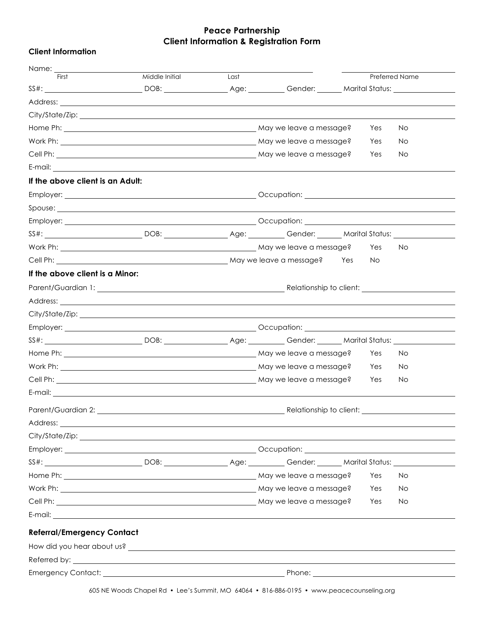## **Peace Partnership Client Information & Registration Form**

|  | <b>Client Information</b> |  |
|--|---------------------------|--|
|--|---------------------------|--|

| Name:                                                                                                                                                                                                                          |                |      |                                                                                                                                                                                                                                      |            |                |
|--------------------------------------------------------------------------------------------------------------------------------------------------------------------------------------------------------------------------------|----------------|------|--------------------------------------------------------------------------------------------------------------------------------------------------------------------------------------------------------------------------------------|------------|----------------|
| First                                                                                                                                                                                                                          | Middle Initial | Last |                                                                                                                                                                                                                                      |            | Preferred Name |
|                                                                                                                                                                                                                                |                |      | SS#: ____________________________DOB: _____________________________Gender: _________Marital Status: _______________                                                                                                                  |            |                |
|                                                                                                                                                                                                                                |                |      |                                                                                                                                                                                                                                      |            |                |
|                                                                                                                                                                                                                                |                |      |                                                                                                                                                                                                                                      |            | No             |
|                                                                                                                                                                                                                                |                |      |                                                                                                                                                                                                                                      | Yes        |                |
|                                                                                                                                                                                                                                |                |      |                                                                                                                                                                                                                                      | Yes<br>Yes | No.<br>No.     |
|                                                                                                                                                                                                                                |                |      |                                                                                                                                                                                                                                      |            |                |
| If the above client is an Adult:                                                                                                                                                                                               |                |      |                                                                                                                                                                                                                                      |            |                |
|                                                                                                                                                                                                                                |                |      |                                                                                                                                                                                                                                      |            |                |
|                                                                                                                                                                                                                                |                |      | Spouse: <u>contract and contract and contract and contract and contract and contract and contract and contract and contract and contract and contract and contract and contract and contract and contract and contract and contr</u> |            |                |
|                                                                                                                                                                                                                                |                |      |                                                                                                                                                                                                                                      |            |                |
|                                                                                                                                                                                                                                |                |      | SS#: ____________________________DOB: _______________________________Gender: ________Marital Status: _______________                                                                                                                 |            |                |
|                                                                                                                                                                                                                                |                |      | Work Ph: Now a May we leave a message?                                                                                                                                                                                               | Yes        | No             |
|                                                                                                                                                                                                                                |                |      |                                                                                                                                                                                                                                      | No.        |                |
| If the above client is a Minor:                                                                                                                                                                                                |                |      |                                                                                                                                                                                                                                      |            |                |
|                                                                                                                                                                                                                                |                |      |                                                                                                                                                                                                                                      |            |                |
|                                                                                                                                                                                                                                |                |      |                                                                                                                                                                                                                                      |            |                |
|                                                                                                                                                                                                                                |                |      |                                                                                                                                                                                                                                      |            |                |
|                                                                                                                                                                                                                                |                |      |                                                                                                                                                                                                                                      |            |                |
|                                                                                                                                                                                                                                |                |      | SS#: ___________________________DOB: _______________________________Gender: ________Marital Status: ________________                                                                                                                 |            |                |
|                                                                                                                                                                                                                                |                |      |                                                                                                                                                                                                                                      | Yes        | No             |
|                                                                                                                                                                                                                                |                |      |                                                                                                                                                                                                                                      | Yes        | No.            |
|                                                                                                                                                                                                                                |                |      |                                                                                                                                                                                                                                      | Yes        | No.            |
|                                                                                                                                                                                                                                |                |      |                                                                                                                                                                                                                                      |            |                |
|                                                                                                                                                                                                                                |                |      |                                                                                                                                                                                                                                      |            |                |
| Address:                                                                                                                                                                                                                       |                |      |                                                                                                                                                                                                                                      |            |                |
|                                                                                                                                                                                                                                |                |      |                                                                                                                                                                                                                                      |            |                |
|                                                                                                                                                                                                                                |                |      |                                                                                                                                                                                                                                      |            |                |
|                                                                                                                                                                                                                                |                |      | SS#: Marital Status: DOB: DOB: Age: Age: Cender: Marital Status: 1998)                                                                                                                                                               |            |                |
|                                                                                                                                                                                                                                |                |      |                                                                                                                                                                                                                                      | Yes        | No.            |
|                                                                                                                                                                                                                                |                |      |                                                                                                                                                                                                                                      | Yes        | <b>No</b>      |
|                                                                                                                                                                                                                                |                |      |                                                                                                                                                                                                                                      | Yes        | No.            |
|                                                                                                                                                                                                                                |                |      |                                                                                                                                                                                                                                      |            |                |
| <b>Referral/Emergency Contact</b>                                                                                                                                                                                              |                |      |                                                                                                                                                                                                                                      |            |                |
|                                                                                                                                                                                                                                |                |      |                                                                                                                                                                                                                                      |            |                |
| Referred by: the contract of the contract of the contract of the contract of the contract of the contract of the contract of the contract of the contract of the contract of the contract of the contract of the contract of t |                |      |                                                                                                                                                                                                                                      |            |                |
| <b>Emergency Contact:</b>                                                                                                                                                                                                      |                |      | Phone:                                                                                                                                                                                                                               |            |                |